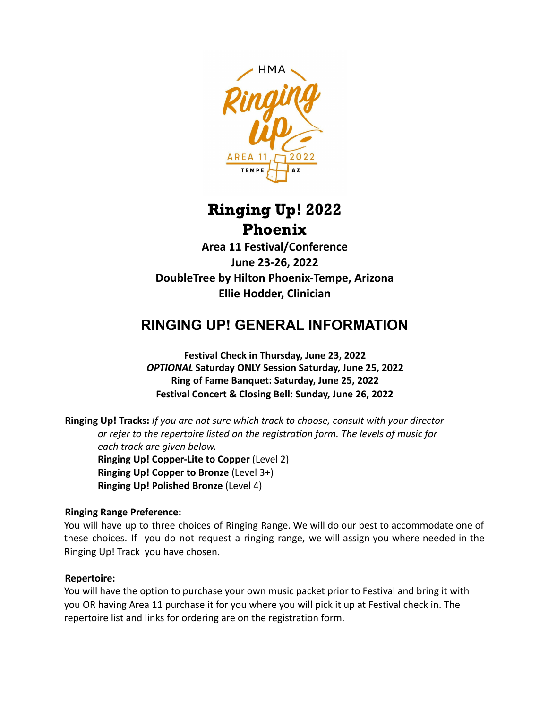

# Ringing Up! 2022 Phoenix

**Area 11 Festival/Conference June 23-26, 2022 DoubleTree by Hilton Phoenix-Tempe, Arizona Ellie Hodder, Clinician**

## **RINGING UP! GENERAL INFORMATION**

**Festival Check in Thursday, June 23, 2022** *OPTIONAL* **Saturday ONLY Session Saturday, June 25, 2022 Ring of Fame Banquet: Saturday, June 25, 2022 Festival Concert & Closing Bell: Sunday, June 26, 2022**

**Ringing Up! Tracks:** *If you are not sure which track to choose, consult with your director or refer to the repertoire listed on the registration form. The levels of music for each track are given below.* **Ringing Up! Copper-Lite to Copper** (Level 2) **Ringing Up! Copper to Bronze** (Level 3+) **Ringing Up! Polished Bronze** (Level 4)

#### **Ringing Range Preference:**

You will have up to three choices of Ringing Range. We will do our best to accommodate one of these choices. If you do not request a ringing range, we will assign you where needed in the Ringing Up! Track you have chosen.

#### **Repertoire:**

You will have the option to purchase your own music packet prior to Festival and bring it with you OR having Area 11 purchase it for you where you will pick it up at Festival check in. The repertoire list and links for ordering are on the registration form.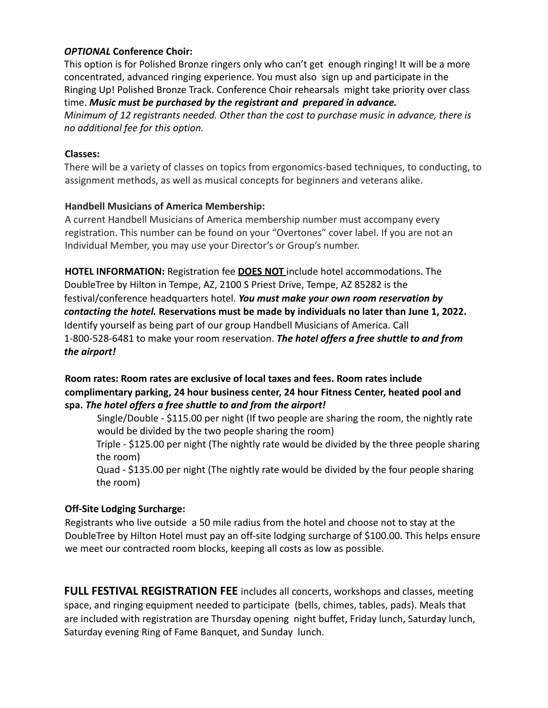#### *OPTIONAL* **Conference Choir:**

This option is for Polished Bronze ringers only who can't get enough ringing! It will be a more concentrated, advanced ringing experience. You must also sign up and participate in the Ringing Up! Polished Bronze Track. Conference Choir rehearsals might take priority over class time. *Music must be purchased by the registrant and prepared in advance.*

*Minimum of 12 registrants needed. Other than the cost to purchase music in advance, there is no additional fee for this option.*

#### **Classes:**

There will be a variety of classes on topics from ergonomics-based techniques, to conducting, to assignment methods, as well as musical concepts for beginners and veterans alike.

#### **Handbell Musicians of America Membership:**

A current Handbell Musicians of America membership number must accompany every registration. This number can be found on your "Overtones" cover label. If you are not an Individual Member, you may use your Director's or Group's number.

**HOTEL INFORMATION:** Registration fee **DOES NOT** include hotel accommodations. The DoubleTree by Hilton in Tempe, AZ, 2100 S Priest Drive, Tempe, AZ 85282 is the festival/conference headquarters hotel. *You must make your own room reservation by contacting the hotel.* **Reservations must be made by individuals no later than June 1, 2022.** Identify yourself as being part of our group Handbell Musicians of America. Call 1-800-528-6481 to make your room reservation. *The hotel offers a free shuttle to and from the airport!*

#### **Room rates: Room rates are exclusive of local taxes and fees. Room rates include complimentary parking, 24 hour business center, 24 hour Fitness Center, heated pool and spa.** *The hotel offers a free shuttle to and from the airport!*

Single/Double - \$115.00 per night (If two people are sharing the room, the nightly rate would be divided by the two people sharing the room)

Triple - \$125.00 per night (The nightly rate would be divided by the three people sharing the room)

Quad - \$135.00 per night (The nightly rate would be divided by the four people sharing the room)

#### **Off-Site Lodging Surcharge:**

Registrants who live outside a 50 mile radius from the hotel and choose not to stay at the DoubleTree by Hilton Hotel must pay an off-site lodging surcharge of \$100.00. This helps ensure we meet our contracted room blocks, keeping all costs as low as possible.

**FULL FESTIVAL REGISTRATION FEE** includes all concerts, workshops and classes, meeting space, and ringing equipment needed to participate (bells, chimes, tables, pads). Meals that are included with registration are Thursday opening night buffet, Friday lunch, Saturday lunch, Saturday evening Ring of Fame Banquet, and Sunday lunch.